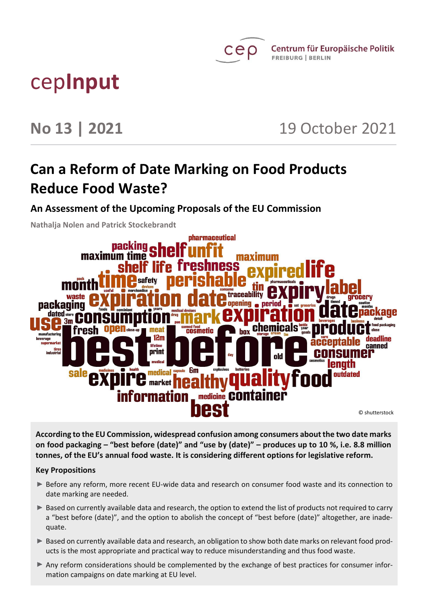

# cep**Input**

**No 13 | 2021** 19 October 2021

## **Can a Reform of Date Marking on Food Products Reduce Food Waste?**

**An Assessment of the Upcoming Proposals of the EU Commission** 

**Nathalja Nolen and Patrick Stockebrandt**



**According to the EU Commission, widespread confusion among consumers about the two date marks on food packaging – "best before (date)" and "use by (date)" – produces up to 10 %, i.e. 8.8 million tonnes, of the EU's annual food waste. It is considering different options for legislative reform.** 

#### **Key Propositions**

- Before any reform, more recent EU-wide data and research on consumer food waste and its connection to date marking are needed.
- Based on currently available data and research, the option to extend the list of products not required to carry a "best before (date)", and the option to abolish the concept of "best before (date)" altogether, are inadequate.
- Based on currently available data and research, an obligation to show both date marks on relevant food products is the most appropriate and practical way to reduce misunderstanding and thus food waste.
- Any reform considerations should be complemented by the exchange of best practices for consumer information campaigns on date marking at EU level.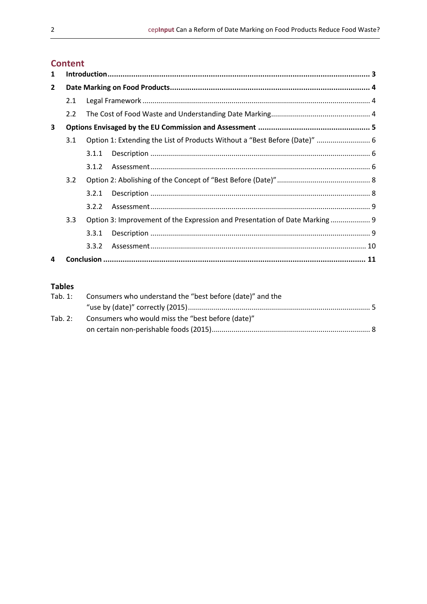### **Content**

| 1            |     |       |                                                                            |  |  |
|--------------|-----|-------|----------------------------------------------------------------------------|--|--|
| $\mathbf{2}$ |     |       |                                                                            |  |  |
|              | 2.1 |       |                                                                            |  |  |
|              | 2.2 |       |                                                                            |  |  |
| 3            |     |       |                                                                            |  |  |
|              | 3.1 |       | Option 1: Extending the List of Products Without a "Best Before (Date)"  6 |  |  |
|              |     | 3.1.1 |                                                                            |  |  |
|              |     | 3.1.2 |                                                                            |  |  |
|              | 3.2 |       |                                                                            |  |  |
|              |     | 3.2.1 |                                                                            |  |  |
|              |     | 3.2.2 |                                                                            |  |  |
|              | 3.3 |       | Option 3: Improvement of the Expression and Presentation of Date Marking 9 |  |  |
|              |     | 3.3.1 |                                                                            |  |  |
|              |     | 3.3.2 |                                                                            |  |  |
| 4            |     |       |                                                                            |  |  |

#### **Tables**

| Tab. 1: Consumers who understand the "best before (date)" and the |  |  |  |
|-------------------------------------------------------------------|--|--|--|
|                                                                   |  |  |  |
| Tab. 2: Consumers who would miss the "best before (date)"         |  |  |  |
|                                                                   |  |  |  |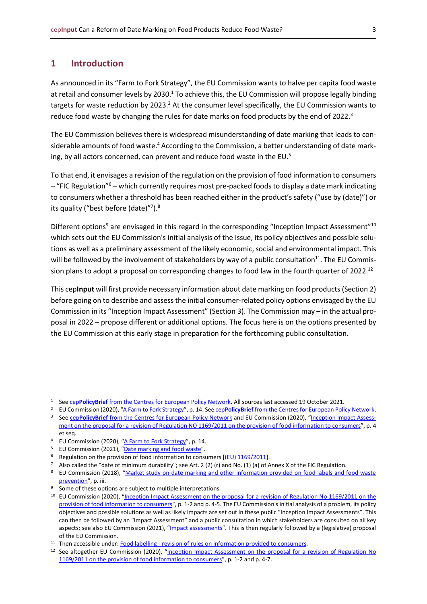#### <span id="page-2-0"></span>**1 Introduction**

As announced in its "Farm to Fork Strategy", the EU Commission wants to halve per capita food waste at retail and consumer levels by 2030.<sup>1</sup> To achieve this, the EU Commission will propose legally binding targets for waste reduction by 2023.<sup>2</sup> At the consumer level specifically, the EU Commission wants to reduce food waste by changing the rules for date marks on food products by the end of 2022.<sup>3</sup>

The EU Commission believes there is widespread misunderstanding of date marking that leads to considerable amounts of food waste.<sup>4</sup> According to the Commission, a better understanding of date marking, by all actors concerned, can prevent and reduce food waste in the EU.<sup>5</sup>

To that end, it envisages a revision of the regulation on the provision of food information to consumers  $-$  "FIC Regulation"<sup>6</sup> – which currently requires most pre-packed foods to display a date mark indicating to consumers whether a threshold has been reached either in the product's safety ("use by (date)") or its quality ("best before (date)"<sup>7</sup>).<sup>8</sup>

Different options<sup>9</sup> are envisaged in this regard in the corresponding "Inception Impact Assessment"<sup>10</sup> which sets out the EU Commission's initial analysis of the issue, its policy objectives and possible solutions as well as a preliminary assessment of the likely economic, social and environmental impact. This will be followed by the involvement of stakeholders by way of a public consultation $^{11}$ . The EU Commission plans to adopt a proposal on corresponding changes to food law in the fourth quarter of 2022.<sup>12</sup>

This cep**Input** will first provide necessary information about date marking on food products (Section 2) before going on to describe and assess the initial consumer-related policy options envisaged by the EU Commission in its "Inception Impact Assessment" (Section 3). The Commission may – in the actual proposal in 2022 – propose different or additional options. The focus here is on the options presented by the EU Commission at this early stage in preparation for the forthcoming public consultation.

<sup>1</sup> See cep**PolicyBrief** [from the Centres for European Policy Network.](https://www.cep.eu/fileadmin/user_upload/cep.eu/Studien/cepAnalyse_Farm_To_Fork/cepPolicyBrief_Farm_To_Fork_final.pdf) All sources last accessed 19 October 2021.

<sup>&</sup>lt;sup>2</sup> EU Commission (2020), "[A Farm to Fork Strategy](https://eur-lex.europa.eu/resource.html?uri=cellar:ea0f9f73-9ab2-11ea-9d2d-01aa75ed71a1.0001.02/DOC_1&format=PDF)", p. 14. See cepPolicyBrief [from the Centres for European Policy Network.](https://www.cep.eu/fileadmin/user_upload/cep.eu/Studien/cepAnalyse_Farm_To_Fork/cepPolicyBrief_Farm_To_Fork_final.pdf) <sup>3</sup> See cepPolicyBrief [from the Centres for European](https://www.cep.eu/fileadmin/user_upload/cep.eu/Studien/cepAnalyse_Farm_To_Fork/cepPolicyBrief_Farm_To_Fork_final.pdf) Policy Network and EU Commission (2020), "[Inception Impact Assess](https://eur-lex.europa.eu/legal-content/EN/TXT/DOC/?uri=PI_COM:Ares(2020)7905364&from=EN)[ment on the proposal for a revision of Regulation NO 1169/2011 on the provision of food information to consumers](https://eur-lex.europa.eu/legal-content/EN/TXT/DOC/?uri=PI_COM:Ares(2020)7905364&from=EN)", p. 4

et seq.

<sup>4</sup> EU Commission (2020), "[A Farm to Fork Strategy](https://eur-lex.europa.eu/resource.html?uri=cellar:ea0f9f73-9ab2-11ea-9d2d-01aa75ed71a1.0001.02/DOC_1&format=PDF)", p. 14.

<sup>&</sup>lt;sup>5</sup> EU Commission (2021), "<u>[Date marking and food waste](https://ec.europa.eu/food/food/food-waste/eu-actions-against-food-waste/date-marking-and-food-waste_en)</u>".<br><sup>6</sup> Begulation on the provision of food information to consu

Regulation on the provision of food information to consumers [\[\(EU\) 1169/2011\]](https://eur-lex.europa.eu/legal-content/EN/TXT/PDF/?uri=CELEX:32011R1169&from=EN).

<sup>&</sup>lt;sup>7</sup> Also called the "date of minimum durability"; see Art. 2 (2) (r) and No. (1) (a) of Annex X of the FIC Regulation.

<sup>&</sup>lt;sup>8</sup> EU Commission (2018), "Market study on date marking and other information provided on food labels and food waste [prevention](https://op.europa.eu/en/publication-detail/-/publication/e7be006f-0d55-11e8-966a-01aa75ed71a1/language-en)", p. iii.

<sup>&</sup>lt;sup>9</sup> Some of these options are subject to multiple interpretations.

<sup>&</sup>lt;sup>10</sup> EU Commission (2020), "<u>[Inception Impact Assessment on the proposal for a revision of Regulation No](https://eur-lex.europa.eu/legal-content/EN/TXT/DOC/?uri=PI_COM:Ares(2020)7905364&from=EN) 1169/2011 on the</u> [provision of food information to consumers](https://eur-lex.europa.eu/legal-content/EN/TXT/DOC/?uri=PI_COM:Ares(2020)7905364&from=EN)", p. 1-2 and p. 4-5. The EU Commission's initial analysis of a problem, its policy objectives and possible solutions as well as likely impacts are set out in these public "Inception Impact Assessments". This can then be followed by an "Impact Assessment" and a public consultation in which stakeholders are consulted on all key aspects; see also EU Commission (2021), "*[Impact assessments](https://ec.europa.eu/info/law/law-making-process/planning-and-proposing-law/impact-assessments_en)*". This is then regularly followed by a (legislative) proposal of the EU Commission.

<sup>&</sup>lt;sup>11</sup> Then accessible under: Food labelling - [revision of rules on information provided to consumers.](https://ec.europa.eu/info/law/better-regulation/have-your-say/initiatives/12749-Food-labelling-revision-of-rules-on-information-provided-to-consumers_en)

<sup>12</sup> See altogether EU Commission (2020), "[Inception Impact Assessment on the proposal for a revision of Regulation No](https://eur-lex.europa.eu/legal-content/EN/TXT/DOC/?uri=PI_COM:Ares(2020)7905364&from=EN) [1169/2011 on the provision of food information to consumers](https://eur-lex.europa.eu/legal-content/EN/TXT/DOC/?uri=PI_COM:Ares(2020)7905364&from=EN)", p. 1-2 and p. 4-7.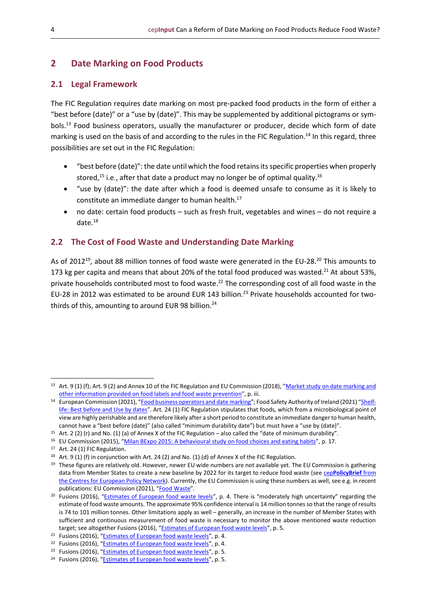#### <span id="page-3-0"></span>**2 Date Marking on Food Products**

#### <span id="page-3-1"></span>**2.1 Legal Framework**

The FIC Regulation requires date marking on most pre-packed food products in the form of either a "best before (date)" or a "use by (date)". This may be supplemented by additional pictograms or symbols.<sup>13</sup> Food business operators, usually the manufacturer or producer, decide which form of date marking is used on the basis of and according to the rules in the FIC Regulation.<sup>14</sup> In this regard, three possibilities are set out in the FIC Regulation:

- "best before (date)": the date until which the food retains its specific properties when properly stored,<sup>15</sup> i.e., after that date a product may no longer be of optimal quality.<sup>16</sup>
- "use by (date)": the date after which a food is deemed unsafe to consume as it is likely to constitute an immediate danger to human health. 17
- no date: certain food products such as fresh fruit, vegetables and wines do not require a date. 18

#### <span id="page-3-2"></span>**2.2 The Cost of Food Waste and Understanding Date Marking**

As of 2012<sup>19</sup>, about 88 million tonnes of food waste were generated in the EU-28.<sup>20</sup> This amounts to 173 kg per capita and means that about 20% of the total food produced was wasted.<sup>21</sup> At about 53%, private households contributed most to food waste.<sup>22</sup> The corresponding cost of all food waste in the EU-28 in 2012 was estimated to be around EUR 143 billion.<sup>23</sup> Private households accounted for twothirds of this, amounting to around EUR 98 billion.<sup>24</sup>

<sup>13</sup> Art. 9 (1) (f); Art. 9 (2) and Annex 10 of the FIC Regulation and EU Commission (2018), "Market study on date marking and [other information provided on food labels and food waste prevention](https://op.europa.eu/en/publication-detail/-/publication/e7be006f-0d55-11e8-966a-01aa75ed71a1/language-en)", p. iii.

<sup>&</sup>lt;sup>14</sup> European Commission (2021), "[Food business operators and date marking](https://ec.europa.eu/food/safety/food-waste/eu-actions-against-food-waste/date-marking-and-food-waste_en)"; Food Safety Authority of Ireland (2021) "[Shelf](https://www.fsai.ie/faq/shelf_life/best_before_and_use_by.html)[life: Best before and Use by dates](https://www.fsai.ie/faq/shelf_life/best_before_and_use_by.html)". Art. 24 (1) FIC Regulation stipulates that foods, which from a microbiological point of view are highly perishable and are therefore likely after a short period to constitute an immediate danger to human health, cannot have a "best before (date)" (also called "minimum durability date") but must have a "use by (date)".

<sup>15</sup> Art. 2 (2) (r) and No. (1) (a) of Annex X of the FIC Regulation – also called the "date of minimum durability".

<sup>&</sup>lt;sup>16</sup> EU Commission (2015), "[Milan BExpo 2015: A behavioural study on food choices and eating habits](https://ec.europa.eu/food/system/files/2020-06/fw_eu-actions_bexpo-milan_final-report.pdf)", p. 17.

<sup>17</sup> Art. 24 (1) FIC Regulation.

<sup>18</sup> Art. 9 (1) (f) in conjunction with Art. 24 (2) and No. (1) (d) of Annex X of the FIC Regulation.

 $19$  These figures are relatively old. However, newer EU wide numbers are not available yet. The EU Commission is gathering data from Member States to create a new baseline by 2022 for its target to reduce food waste (see cep**[PolicyBrief](https://www.cep.eu/fileadmin/user_upload/cep.eu/Studien/cepAnalyse_Farm_To_Fork/cepPolicyBrief_Farm_To_Fork_final.pdf)** from [the Centres for European Policy Network\)](https://www.cep.eu/fileadmin/user_upload/cep.eu/Studien/cepAnalyse_Farm_To_Fork/cepPolicyBrief_Farm_To_Fork_final.pdf). Currently, the EU Commission is using these numbers as well, see e.g. in recent publications: EU Commission (2021), "[Food Waste](https://ec.europa.eu/food/food/food-waste/stop-food-waste_en)".

<sup>&</sup>lt;sup>20</sup> Fusions (2016), "[Estimates of European food waste levels](http://www.eu-fusions.org/phocadownload/Publications/Estimates%20of%20European%20food%20waste%20levels.pdf)", p. 4. There is "moderately high uncertainty" regarding the estimate of food waste amounts. The approximate 95% confidence interval is 14 million tonnes so that the range of results is 74 to 101 million tonnes. Other limitations apply as well – generally, an increase in the number of Member States with sufficient and continuous measurement of food waste is necessary to monitor the above mentioned waste reduction target; see altogether Fusions (2016), "[Estimates of European food waste levels](http://www.eu-fusions.org/phocadownload/Publications/Estimates%20of%20European%20food%20waste%20levels.pdf)", p. 5.

<sup>&</sup>lt;sup>21</sup> Fusions (2016), "[Estimates of European food waste levels](http://www.eu-fusions.org/phocadownload/Publications/Estimates%20of%20European%20food%20waste%20levels.pdf)", p. 4.

<sup>&</sup>lt;sup>22</sup> Fusions (2016), "[Estimates of European food waste levels](http://www.eu-fusions.org/phocadownload/Publications/Estimates%20of%20European%20food%20waste%20levels.pdf)", p. 4.

<sup>&</sup>lt;sup>23</sup> Fusions (2016), "Estimates [of European food waste levels](http://www.eu-fusions.org/phocadownload/Publications/Estimates%20of%20European%20food%20waste%20levels.pdf)", p. 5.

<sup>24</sup> Fusions (2016), "[Estimates of European food waste levels](http://www.eu-fusions.org/phocadownload/Publications/Estimates%20of%20European%20food%20waste%20levels.pdf)", p. 5.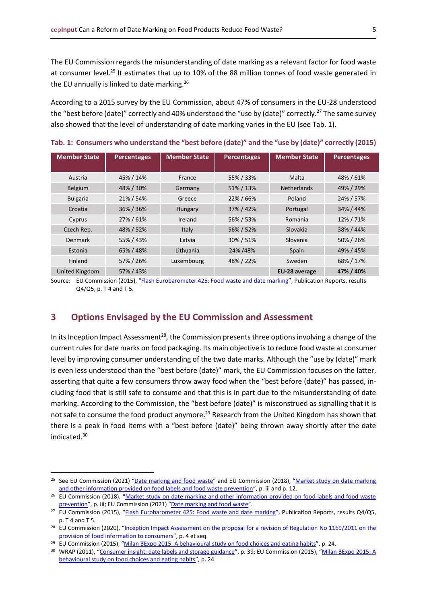The EU Commission regards the misunderstanding of date marking as a relevant factor for food waste at consumer level.<sup>25</sup> It estimates that up to 10% of the 88 million tonnes of food waste generated in the EU annually is linked to date marking.<sup>26</sup>

According to a 2015 survey by the EU Commission, about 47% of consumers in the EU-28 understood the "best before (date)" correctly and 40% understood the "use by (date)" correctly.<sup>27</sup> The same survey also showed that the level of understanding of date marking varies in the EU (see Tab. 1).

| <b>Member State</b> | <b>Percentages</b> | <b>Member State</b> | <b>Percentages</b> | <b>Member State</b> | <b>Percentages</b> |
|---------------------|--------------------|---------------------|--------------------|---------------------|--------------------|
| Austria             | 45% / 14%          | France              | 55% / 33%          | Malta               | 48% / 61%          |
| <b>Belgium</b>      | 48% / 30%          | Germany             | 51% / 13%          | <b>Netherlands</b>  | 49% / 29%          |
| <b>Bulgaria</b>     | 21% / 54%          | Greece              | 22% / 66%          | Poland              | 24% / 57%          |
| Croatia             | 36% / 36%          | Hungary             | 37% / 42%          | Portugal            | 34% / 44%          |
| Cyprus              | 27%/61%            | Ireland             | 56% / 53%          | Romania             | 12% / 71%          |
| Czech Rep.          | 48% / 52%          | Italy               | 56% / 52%          | Slovakia            | 38% / 44%          |
| Denmark             | 55% / 43%          | Latvia              | 30% / 51%          | Slovenia            | 50% / 26%          |
| Estonia             | 65% / 48%          | Lithuania           | 24% / 48%          | Spain               | 49% / 45%          |
| Finland             | 57% / 26%          | Luxembourg          | 48% / 22%          | Sweden              | 68% / 17%          |
| United Kingdom      | 57% / 43%          |                     |                    | EU-28 average       | 47% / 40%          |

<span id="page-4-1"></span>**Tab. 1: Consumers who understand the "best before (date)" and the "use by (date)" correctly (2015)**

Source: EU Commission (2015), "[Flash Eurobarometer 425: Food waste and date marking](https://europa.eu/eurobarometer/surveys/detail/2095)", Publication Reports, results Q4/Q5, p. T 4 and T 5.

#### <span id="page-4-0"></span>**3 Options Envisaged by the EU Commission and Assessment**

In its Inception Impact Assessment<sup>28</sup>, the Commission presents three options involving a change of the current rules for date marks on food packaging. Its main objective is to reduce food waste at consumer level by improving consumer understanding of the two date marks. Although the "use by (date)" mark is even less understood than the "best before (date)" mark, the EU Commission focuses on the latter, asserting that quite a few consumers throw away food when the "best before (date)" has passed, including food that is still safe to consume and that this is in part due to the misunderstanding of date marking. According to the Commission, the "best before (date)" is misconstrued as signalling that it is not safe to consume the food product anymore.<sup>29</sup> Research from the United Kingdom has shown that there is a peak in food items with a "best before (date)" being thrown away shortly after the date indicated. 30

<sup>&</sup>lt;sup>25</sup> See EU Commission (2021) "[Date marking and food waste](https://ec.europa.eu/food/safety/food-waste/eu-actions-against-food-waste/date-marking-and-food-waste_en)" and EU Commission (2018), "Market study on date marking [and other information provided on food labels and food waste prevention](https://op.europa.eu/en/publication-detail/-/publication/e7be006f-0d55-11e8-966a-01aa75ed71a1/language-en)", p. iii and p. 12.

<sup>&</sup>lt;sup>26</sup> EU Commission (2018), "Market study on date marking and other information provided on food labels and food waste [prevention](https://op.europa.eu/en/publication-detail/-/publication/e7be006f-0d55-11e8-966a-01aa75ed71a1/language-en)", p. iii; EU Commission (2021) "[Date marking and food waste](https://ec.europa.eu/food/safety/food-waste/eu-actions-against-food-waste/date-marking-and-food-waste_en)".

<sup>&</sup>lt;sup>27</sup> EU Commission (2015), "[Flash Eurobarometer 425: Food waste and date marking](https://europa.eu/eurobarometer/surveys/detail/2095)", Publication Reports, results Q4/Q5, p. T 4 and T 5.

<sup>&</sup>lt;sup>28</sup> EU Commission (2020), "Inception Impact Assessment on the proposal for a revision of Regulation No 1169/2011 on the [provision of food information to consumers](https://eur-lex.europa.eu/legal-content/EN/TXT/DOC/?uri=PI_COM:Ares(2020)7905364&from=EN)", p. 4 et seq.

<sup>&</sup>lt;sup>29</sup> EU Commission (2015), "[Milan BExpo 2015: A behavioural study on food](https://ec.europa.eu/food/system/files/2020-06/fw_eu-actions_bexpo-milan_final-report.pdf) choices and eating habits", p. 24.

<sup>&</sup>lt;sup>30</sup> WRAP (2011), "[Consumer insight: date labels and storage guidance](https://wrap.org.uk/sites/default/files/2020-12/Consumer-insight-date-labels-and-storage-guidance.pdf)", p. 39; EU Commission (2015), "Milan BExpo 2015: A [behavioural study on food choices and eating habits](https://ec.europa.eu/food/system/files/2020-06/fw_eu-actions_bexpo-milan_final-report.pdf)", p. 24.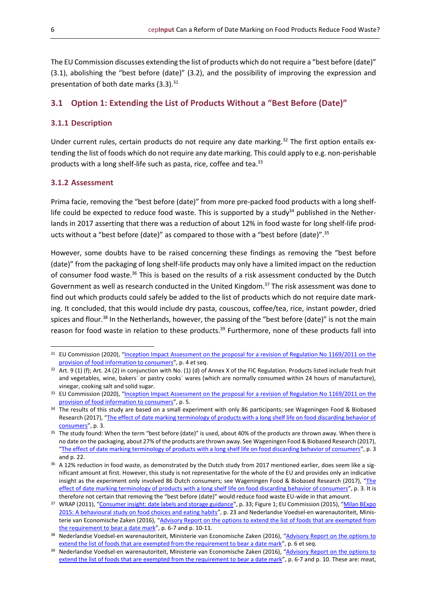The EU Commission discusses extending the list of products which do not require a "best before (date)" (3.1), abolishing the "best before (date)" (3.2), and the possibility of improving the expression and presentation of both date marks (3.3).<sup>31</sup>

#### <span id="page-5-0"></span>**3.1 Option 1: Extending the List of Products Without a "Best Before (Date)"**

#### <span id="page-5-1"></span>**3.1.1 Description**

Under current rules, certain products do not require any date marking.<sup>32</sup> The first option entails extending the list of foods which do not require any date marking. This could apply to e.g. non-perishable products with a long shelf-life such as pasta, rice, coffee and tea.<sup>33</sup>

#### <span id="page-5-2"></span>**3.1.2 Assessment**

Prima facie, removing the "best before (date)" from more pre-packed food products with a long shelflife could be expected to reduce food waste. This is supported by a study $34$  published in the Netherlands in 2017 asserting that there was a reduction of about 12% in food waste for long shelf-life products without a "best before (date)" as compared to those with a "best before (date)".<sup>35</sup>

However, some doubts have to be raised concerning these findings as removing the "best before (date)" from the packaging of long shelf-life products may only have a limited impact on the reduction of consumer food waste.<sup>36</sup> This is based on the results of a risk assessment conducted by the Dutch Government as well as research conducted in the United Kingdom. <sup>37</sup> The risk assessment was done to find out which products could safely be added to the list of products which do not require date marking. It concluded, that this would include dry pasta, couscous, coffee/tea, rice, instant powder, dried spices and flour.<sup>38</sup> In the Netherlands, however, the passing of the "best before (date)" is not the main reason for food waste in relation to these products.<sup>39</sup> Furthermore, none of these products fall into

<sup>&</sup>lt;sup>31</sup> EU Commission (2020), "Inception Impact Assessment on the proposal for a revision of Regulation No 1169/2011 on the [provision of food information to consumers](https://eur-lex.europa.eu/legal-content/EN/TXT/DOC/?uri=PI_COM:Ares(2020)7905364&from=EN)", p. 4 et seq.

 $32$  Art. 9 (1) (f); Art. 24 (2) in conjunction with No. (1) (d) of Annex X of the FIC Regulation. Products listed include fresh fruit and vegetables, wine, bakers´ or pastry cooks´ wares (which are normally consumed within 24 hours of manufacture), vinegar, cooking salt and solid sugar.

<sup>33</sup> EU Commission (2020), "[Inception Impact Assessment on the proposal for a revision of Regulation No](https://eur-lex.europa.eu/legal-content/EN/TXT/DOC/?uri=PI_COM:Ares(2020)7905364&from=EN) 1169/2011 on the [provision of food information to consumers](https://eur-lex.europa.eu/legal-content/EN/TXT/DOC/?uri=PI_COM:Ares(2020)7905364&from=EN)", p. 5.

<sup>34</sup> The results of this study are based on a small experiment with only 86 participants; see Wageningen Food & Biobased Research (2017), "The effect of date marking terminology of products with a long shelf life on food discarding behavior of [consumers](https://ec.europa.eu/food/system/files/2019-05/fw_lib_dm_nld_wageningen-ur_terminology-effect.pdf)", p. 3.

<sup>&</sup>lt;sup>35</sup> The study found: When the term "best before (date)" is used, about 40% of the products are thrown away. When there is no date on the packaging, about 27% of the products are thrown away. See Wageningen Food & Biobased Research (2017), "[The effect of date marking terminology of products with a long shelf life on food discarding behavior of consumers](https://ec.europa.eu/food/system/files/2019-05/fw_lib_dm_nld_wageningen-ur_terminology-effect.pdf)", p. 3 and p. 22.

<sup>&</sup>lt;sup>36</sup> A 12% reduction in food waste, as demonstrated by the Dutch study from 2017 mentioned earlier, does seem like a significant amount at first. However, this study is not representative for the whole of the EU and provides only an indicative insight as the experiment only involved 86 Dutch consumers; see Wageningen Food & Biobased Research (2017), "The [effect of date marking terminology of products with a long shelf life on food discarding behavior of consumers](https://ec.europa.eu/food/system/files/2019-05/fw_lib_dm_nld_wageningen-ur_terminology-effect.pdf)", p. 3. It is therefore not certain that removing the "best before (date)" would reduce food waste EU-wide in that amount.

<sup>&</sup>lt;sup>37</sup> WRAP (2011), "[Consumer insight: date labels and storage guidance](https://wrap.org.uk/sites/default/files/2020-12/Consumer-insight-date-labels-and-storage-guidance.pdf)", p. 33; Figure 1; EU Commission (2015), "Milan BExpo [2015: A behavioural study on food choices and eating habits](https://ec.europa.eu/food/system/files/2020-06/fw_eu-actions_bexpo-milan_final-report.pdf)", p. 23 and Nederlandse Voedsel-en warenautoriteit, Ministerie van Economische Zaken (2016), "Advisory Report on the options to extend the list of foods that are exempted from [the requirement to bear a date mark](https://english.nvwa.nl/binaries/nvwa-en/documents/consumers/food/safety/documents/advice-of-buro-on-the-options-to-extend-the-list-of-foods-that-are-exempted-from-the-requirement-to-bear-a-date-mark/advice-of-buro-on-the-options-to-extend-the-list-of-foods-that-are-exempted-from-the-requirement-to-bear-a+date-mark.pdf)", p. 6-7 and p. 10-11.

<sup>&</sup>lt;sup>38</sup> Nederlandse Voedsel-en warenautoriteit, Ministerie van Economische Zaken (2016), "Advisory Report on the options to [extend the list of foods that are exempted from the requirement to bear a date mark](https://english.nvwa.nl/binaries/nvwa-en/documents/consumers/food/safety/documents/advice-of-buro-on-the-options-to-extend-the-list-of-foods-that-are-exempted-from-the-requirement-to-bear-a-date-mark/advice-of-buro-on-the-options-to-extend-the-list-of-foods-that-are-exempted-from-the-requirement-to-bear-a+date-mark.pdf)", p. 6 et seq.

<sup>&</sup>lt;sup>39</sup> Nederlandse Voedsel-en warenautoriteit, Ministerie van Economische Zaken (2016), "Advisory Report on the options to [extend the list of foods that are exempted from the requirement to bear a date mark](https://english.nvwa.nl/binaries/nvwa-en/documents/consumers/food/safety/documents/advice-of-buro-on-the-options-to-extend-the-list-of-foods-that-are-exempted-from-the-requirement-to-bear-a-date-mark/advice-of-buro-on-the-options-to-extend-the-list-of-foods-that-are-exempted-from-the-requirement-to-bear-a+date-mark.pdf)", p. 6-7 and p. 10. These are: meat,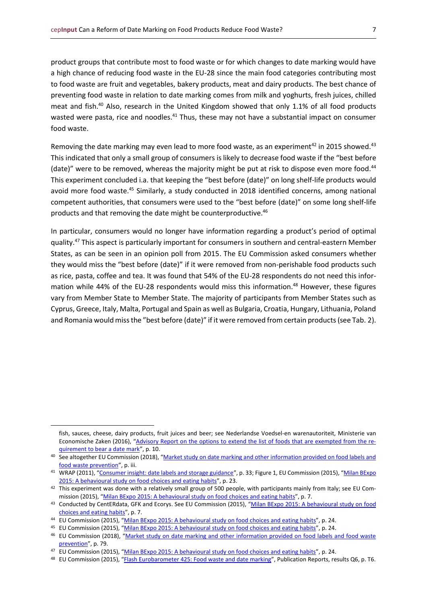product groups that contribute most to food waste or for which changes to date marking would have a high chance of reducing food waste in the EU-28 since the main food categories contributing most to food waste are fruit and vegetables, bakery products, meat and dairy products. The best chance of preventing food waste in relation to date marking comes from milk and yoghurts, fresh juices, chilled meat and fish.<sup>40</sup> Also, research in the United Kingdom showed that only 1.1% of all food products wasted were pasta, rice and noodles.<sup>41</sup> Thus, these may not have a substantial impact on consumer food waste.

Removing the date marking may even lead to more food waste, as an experiment<sup>42</sup> in 2015 showed.<sup>43</sup> This indicated that only a small group of consumers is likely to decrease food waste if the "best before (date)" were to be removed, whereas the majority might be put at risk to dispose even more food.<sup>44</sup> This experiment concluded i.a. that keeping the "best before (date)" on long shelf-life products would avoid more food waste.<sup>45</sup> Similarly, a study conducted in 2018 identified concerns, among national competent authorities, that consumers were used to the "best before (date)" on some long shelf-life products and that removing the date might be counterproductive.<sup>46</sup>

In particular, consumers would no longer have information regarding a product's period of optimal quality.<sup>47</sup> This aspect is particularly important for consumers in southern and central-eastern Member States, as can be seen in an opinion poll from 2015. The EU Commission asked consumers whether they would miss the "best before (date)" if it were removed from non-perishable food products such as rice, pasta, coffee and tea. It was found that 54% of the EU-28 respondents do not need this information while 44% of the EU-28 respondents would miss this information.<sup>48</sup> However, these figures vary from Member State to Member State. The majority of participants from Member States such as Cyprus, Greece, Italy, Malta, Portugal and Spain as well as Bulgaria, Croatia, Hungary, Lithuania, Poland and Romania would miss the "best before (date)" if it were removed from certain products (see Tab. 2).

fish, sauces, cheese, dairy products, fruit juices and beer; see Nederlandse Voedsel-en warenautoriteit, Ministerie van Economische Zaken (2016), "[Advisory Report on the options to extend the list of foods that are exempted from the re](https://english.nvwa.nl/binaries/nvwa-en/documents/consumers/food/safety/documents/advice-of-buro-on-the-options-to-extend-the-list-of-foods-that-are-exempted-from-the-requirement-to-bear-a-date-mark/advice-of-buro-on-the-options-to-extend-the-list-of-foods-that-are-exempted-from-the-requirement-to-bear-a+date-mark.pdf)[quirement to bear a date mark](https://english.nvwa.nl/binaries/nvwa-en/documents/consumers/food/safety/documents/advice-of-buro-on-the-options-to-extend-the-list-of-foods-that-are-exempted-from-the-requirement-to-bear-a-date-mark/advice-of-buro-on-the-options-to-extend-the-list-of-foods-that-are-exempted-from-the-requirement-to-bear-a+date-mark.pdf)", p. 10.

<sup>40</sup> See altogether EU Commission (2018), "Market study on date marking and other information provided on food labels and [food waste prevention](https://op.europa.eu/en/publication-detail/-/publication/e7be006f-0d55-11e8-966a-01aa75ed71a1/language-en)", p. iii.

<sup>&</sup>lt;sup>41</sup> WRAP (2011), "[Consumer insight: date labels and storage guidance](https://wrap.org.uk/sites/default/files/2020-12/Consumer-insight-date-labels-and-storage-guidance.pdf)", p. 33; Figure 1, EU Commission (2015), "Milan BExpo [2015: A behavioural study on food choices and eating habits](https://ec.europa.eu/food/system/files/2020-06/fw_eu-actions_bexpo-milan_final-report.pdf)", p. 23.

<sup>&</sup>lt;sup>42</sup> This experiment was done with a relatively small group of 500 people, with participants mainly from Italy; see EU Com-mission (2015), "Milan BExpo [2015: A behavioural study on food choices and eating habits](https://ec.europa.eu/food/system/files/2020-06/fw_eu-actions_bexpo-milan_final-report.pdf)", p. 7.

<sup>43</sup> Conducted by CentERdata, GFK and Ecorys. See EU Commission (2015), "Milan BExpo 2015: A behavioural study on food [choices and eating habits](https://ec.europa.eu/food/system/files/2020-06/fw_eu-actions_bexpo-milan_final-report.pdf)", p. 7.

<sup>&</sup>lt;sup>44</sup> EU Commission (2015), "[Milan BExpo 2015: A behavioural study on food choices and eating habits](https://ec.europa.eu/food/system/files/2020-06/fw_eu-actions_bexpo-milan_final-report.pdf)", p. 24.

<sup>45</sup> EU Commission (2015), "[Milan BExpo 2015: A behavioural study on food choices and eating habits](https://ec.europa.eu/food/system/files/2020-06/fw_eu-actions_bexpo-milan_final-report.pdf)", p. 24.

<sup>&</sup>lt;sup>46</sup> EU Commission (2018), "Market study on date marking and other information provided on food labels and food waste [prevention](https://op.europa.eu/en/publication-detail/-/publication/e7be006f-0d55-11e8-966a-01aa75ed71a1/language-en)", p. 79.

<sup>47</sup> EU Commission (2015), "[Milan BExpo 2015: A behavioural study on food choices and eating habits](https://ec.europa.eu/food/system/files/2020-06/fw_eu-actions_bexpo-milan_final-report.pdf)", p. 24.

<sup>48</sup> EU Commission (2015), "[Flash Eurobarometer 425: Food waste and date marking](https://europa.eu/eurobarometer/surveys/detail/2095)", Publication Reports, results Q6, p. T6.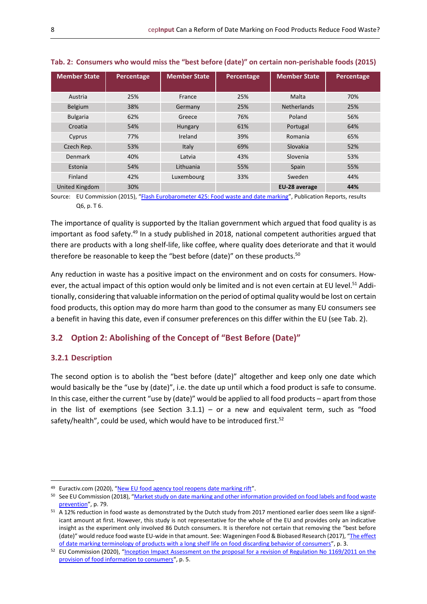| <b>Member State</b> | Percentage | <b>Member State</b> | Percentage | <b>Member State</b> | Percentage |
|---------------------|------------|---------------------|------------|---------------------|------------|
|                     |            |                     |            |                     |            |
| Austria             | 25%        | France              | 25%        | Malta               | 70%        |
| Belgium             | 38%        | Germany             | 25%        | <b>Netherlands</b>  | 25%        |
| <b>Bulgaria</b>     | 62%        | Greece              | 76%        | Poland              | 56%        |
| Croatia             | 54%        | Hungary             | 61%        | Portugal            | 64%        |
| Cyprus              | 77%        | Ireland             | 39%        | Romania             | 65%        |
| Czech Rep.          | 53%        | Italy               | 69%        | Slovakia            | 52%        |
| Denmark             | 40%        | Latvia              | 43%        | Slovenia            | 53%        |
| Estonia             | 54%        | Lithuania           | 55%        | Spain               | 55%        |
| Finland             | 42%        | Luxembourg          | 33%        | Sweden              | 44%        |
| United Kingdom      | 30%        |                     |            | EU-28 average       | 44%        |

<span id="page-7-2"></span>**Tab. 2: Consumers who would miss the "best before (date)" on certain non-perishable foods (2015)**

Source: EU Commission (2015), "[Flash Eurobarometer 425: Food waste and date marking](https://europa.eu/eurobarometer/surveys/detail/2095)", Publication Reports, results Q6, p. T 6.

The importance of quality is supported by the Italian government which argued that food quality is as important as food safety.<sup>49</sup> In a study published in 2018, national competent authorities argued that there are products with a long shelf-life, like coffee, where quality does deteriorate and that it would therefore be reasonable to keep the "best before (date)" on these products.<sup>50</sup>

Any reduction in waste has a positive impact on the environment and on costs for consumers. However, the actual impact of this option would only be limited and is not even certain at EU level.<sup>51</sup> Additionally, considering that valuable information on the period of optimal quality would be lost on certain food products, this option may do more harm than good to the consumer as many EU consumers see a benefit in having this date, even if consumer preferences on this differ within the EU (see Tab. 2).

#### <span id="page-7-0"></span>**3.2 Option 2: Abolishing of the Concept of "Best Before (Date)"**

#### <span id="page-7-1"></span>**3.2.1 Description**

The second option is to abolish the "best before (date)" altogether and keep only one date which would basically be the "use by (date)", i.e. the date up until which a food product is safe to consume. In this case, either the current "use by (date)" would be applied to all food products – apart from those in the list of exemptions (see Section  $3.1.1$ ) – or a new and equivalent term, such as "food safety/health", could be used, which would have to be introduced first.<sup>52</sup>

<sup>49</sup> Euractiv.com (2020), "[New EU food agency tool reopens date marking rift](https://www.euractiv.com/section/agriculture-food/news/new-eu-food-agency-tool-reopens-date-marking-rift/)".

<sup>50</sup> See EU Commission (2018), "Market study on date marking and other information provided on food labels and food waste [prevention](https://op.europa.eu/en/publication-detail/-/publication/e7be006f-0d55-11e8-966a-01aa75ed71a1/language-en)", p. 79.

<sup>51</sup> A 12% reduction in food waste as demonstrated by the Dutch study from 2017 mentioned earlier does seem like a significant amount at first. However, this study is not representative for the whole of the EU and provides only an indicative insight as the experiment only involved 86 Dutch consumers. It is therefore not certain that removing the "best before (date)" would reduce food waste EU-wide in that amount. See: Wageningen Food & Biobased Research (2017), "The effect [of date marking terminology of products with a long shelf life on food discarding behavior of consumers](https://ec.europa.eu/food/system/files/2019-05/fw_lib_dm_nld_wageningen-ur_terminology-effect.pdf)", p. 3.

<sup>&</sup>lt;sup>52</sup> EU Commission (2020), "Inception Impact Assessment on the proposal for a revision of Regulation No 1169/2011 on the [provision of food information to consumers](https://eur-lex.europa.eu/legal-content/EN/TXT/DOC/?uri=PI_COM:Ares(2020)7905364&from=EN)", p. 5.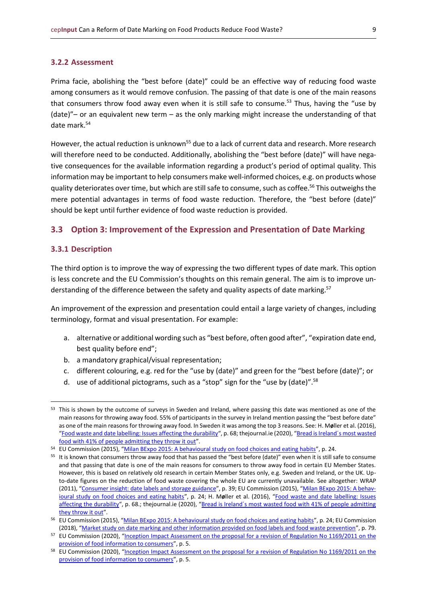#### <span id="page-8-0"></span>**3.2.2 Assessment**

Prima facie, abolishing the "best before (date)" could be an effective way of reducing food waste among consumers as it would remove confusion. The passing of that date is one of the main reasons that consumers throw food away even when it is still safe to consume.<sup>53</sup> Thus, having the "use by (date)"– or an equivalent new term – as the only marking might increase the understanding of that date mark. 54

However, the actual reduction is unknown<sup>55</sup> due to a lack of current data and research. More research will therefore need to be conducted. Additionally, abolishing the "best before (date)" will have negative consequences for the available information regarding a product's period of optimal quality. This information may be important to help consumers make well-informed choices, e.g. on products whose quality deteriorates over time, but which are still safe to consume, such as coffee.<sup>56</sup> This outweighs the mere potential advantages in terms of food waste reduction. Therefore, the "best before (date)" should be kept until further evidence of food waste reduction is provided.

#### <span id="page-8-1"></span>**3.3 Option 3: Improvement of the Expression and Presentation of Date Marking**

#### <span id="page-8-2"></span>**3.3.1 Description**

The third option is to improve the way of expressing the two different types of date mark. This option is less concrete and the EU Commission's thoughts on this remain general. The aim is to improve understanding of the difference between the safety and quality aspects of date marking.<sup>57</sup>

An improvement of the expression and presentation could entail a large variety of changes, including terminology, format and visual presentation. For example:

- a. alternative or additional wording such as "best before, often good after", "expiration date end, best quality before end";
- b. a mandatory graphical/visual representation;
- c. different colouring, e.g. red for the "use by (date)" and green for the "best before (date)"; or
- d. use of additional pictograms, such as a "stop" sign for the "use by (date)".<sup>58</sup>

<sup>53</sup> This is shown by the outcome of surveys in Sweden and Ireland, where passing this date was mentioned as one of the main reasons for throwing away food. 55% of participants in the survey in Ireland mention passing the "best before date" as one of the main reasons for throwing away food. In Sweden it was among the top 3 reasons. See: H. M**ø**ller et al. (2016), "[Food waste and date labelling: Issues affecting the durability](https://norden.diva-portal.org/smash/get/diva2:950731/FULLTEXT04.pdf)", p. 68; thejournal.ie (2020), "[Bread is Ireland´s most wasted](https://www.thejournal.ie/bread-food-waste-epa-5218096-Sep2020/)  [food with 41% of people admitting they throw it out](https://www.thejournal.ie/bread-food-waste-epa-5218096-Sep2020/)".

<sup>54</sup> EU Commission (2015), "[Milan BExpo 2015: A behavioural study on food choices and eating habits](https://ec.europa.eu/food/system/files/2020-06/fw_eu-actions_bexpo-milan_final-report.pdf)", p. 24.

<sup>55</sup> It is known that consumers throw away food that has passed the "best before (date)" even when it is still safe to consume and that passing that date is one of the main reasons for consumers to throw away food in certain EU Member States. However, this is based on relatively old research in certain Member States only, e.g. Sweden and Ireland, or the UK. Upto-date figures on the reduction of food waste covering the whole EU are currently unavailable. See altogether: WRAP (2011), "[Consumer insight: date labels and storage guidance](https://wrap.org.uk/sites/default/files/2020-12/Consumer-insight-date-labels-and-storage-guidance.pdf)", p. 39; EU Commission (2015), "[Milan BExpo 2015: A behav](https://ec.europa.eu/food/system/files/2020-06/fw_eu-actions_bexpo-milan_final-report.pdf)[ioural study on food choices and eating habits](https://ec.europa.eu/food/system/files/2020-06/fw_eu-actions_bexpo-milan_final-report.pdf)", p. 24; H. M**ø**ller et al. (2016), "[Food waste and date labelling: Issues](https://norden.diva-portal.org/smash/get/diva2:950731/FULLTEXT04.pdf)  [affecting the durability](https://norden.diva-portal.org/smash/get/diva2:950731/FULLTEXT04.pdf)", p. 68.; thejournal.ie (2020), "[Bread is Ireland´s most wasted food with 41% of people admitting](https://www.thejournal.ie/bread-food-waste-epa-5218096-Sep2020/)  [they throw it out](https://www.thejournal.ie/bread-food-waste-epa-5218096-Sep2020/)".

<sup>&</sup>lt;sup>56</sup> EU Commission (2015), "[Milan BExpo 2015: A behavioural study on food choices and eating habits](https://ec.europa.eu/food/system/files/2020-06/fw_eu-actions_bexpo-milan_final-report.pdf)", p. 24; EU Commission (2018), "[Market study on date marking and other information provided on food labels and food waste prevention](https://op.europa.eu/en/publication-detail/-/publication/e7be006f-0d55-11e8-966a-01aa75ed71a1/language-en)", p. 79.

<sup>&</sup>lt;sup>57</sup> EU Commission (2020), "[Inception Impact Assessment on the proposal for a revision of Regulation No](https://eur-lex.europa.eu/legal-content/EN/TXT/DOC/?uri=PI_COM:Ares(2020)7905364&from=EN) 1169/2011 on the [provision of food information to consumers](https://eur-lex.europa.eu/legal-content/EN/TXT/DOC/?uri=PI_COM:Ares(2020)7905364&from=EN)", p. 5.

<sup>58</sup> EU Commission (2020), "[Inception Impact Assessment on the proposal for a revision of Regulation No](https://eur-lex.europa.eu/legal-content/EN/TXT/DOC/?uri=PI_COM:Ares(2020)7905364&from=EN) 1169/2011 on the [provision of food information to consumers](https://eur-lex.europa.eu/legal-content/EN/TXT/DOC/?uri=PI_COM:Ares(2020)7905364&from=EN)", p. 5.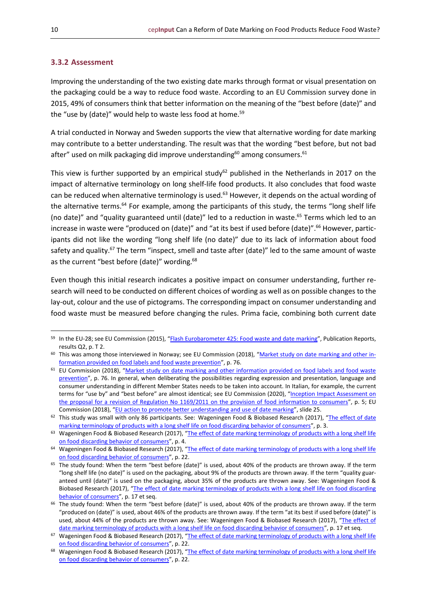#### <span id="page-9-0"></span>**3.3.2 Assessment**

Improving the understanding of the two existing date marks through format or visual presentation on the packaging could be a way to reduce food waste. According to an EU Commission survey done in 2015, 49% of consumers think that better information on the meaning of the "best before (date)" and the "use by (date)" would help to waste less food at home.<sup>59</sup>

A trial conducted in Norway and Sweden supports the view that alternative wording for date marking may contribute to a better understanding. The result was that the wording "best before, but not bad after" used on milk packaging did improve understanding $^{60}$  among consumers. $^{61}$ 

This view is further supported by an empirical study $62$  published in the Netherlands in 2017 on the impact of alternative terminology on long shelf-life food products. It also concludes that food waste can be reduced when alternative terminology is used.<sup>63</sup> However, it depends on the actual wording of the alternative terms.<sup>64</sup> For example, among the participants of this study, the terms "long shelf life (no date)" and "quality guaranteed until (date)" led to a reduction in waste. <sup>65</sup> Terms which led to an increase in waste were "produced on (date)" and "at its best if used before (date)".<sup>66</sup> However, participants did not like the wording "long shelf life (no date)" due to its lack of information about food safety and quality.<sup>67</sup> The term "inspect, smell and taste after (date)" led to the same amount of waste as the current "best before (date)" wording.<sup>68</sup>

Even though this initial research indicates a positive impact on consumer understanding, further research will need to be conducted on different choices of wording as well as on possible changes to the lay-out, colour and the use of pictograms. The corresponding impact on consumer understanding and food waste must be measured before changing the rules. Prima facie, combining both current date

<sup>59</sup> In the EU-28; see EU Commission (2015), "[Flash Eurobarometer 425: Food waste and date marking](https://europa.eu/eurobarometer/surveys/detail/2095)", Publication Reports, results Q2, p. T 2.

 $60$  This was among those interviewed in Norway; see EU Commission (2018), "[Market study on date marking and other in](https://op.europa.eu/en/publication-detail/-/publication/e7be006f-0d55-11e8-966a-01aa75ed71a1/language-en)[formation provided on food labels and food waste prevention](https://op.europa.eu/en/publication-detail/-/publication/e7be006f-0d55-11e8-966a-01aa75ed71a1/language-en)", p. 76.

<sup>&</sup>lt;sup>61</sup> EU Commission (2018), "Market study on date marking and other information provided on food labels and food waste [prevention](https://op.europa.eu/en/publication-detail/-/publication/e7be006f-0d55-11e8-966a-01aa75ed71a1/language-en)", p. 76. In general, when deliberating the possibilities regarding expression and presentation, language and consumer understanding in different Member States needs to be taken into account. In Italian, for example, the current terms for "use by" and "best before" are almost identical; see EU Commission (2020), "Inception Impact Assessment on the proposal for a revision of Regulation No [1169/2011 on the provision of food information to consumers](https://eur-lex.europa.eu/legal-content/EN/TXT/DOC/?uri=PI_COM:Ares(2020)7905364&from=EN)", p. 5; EU Commission (2018), "[EU action to promote better understanding and use of date marking](https://ec.europa.eu/food/system/files/2018-04/fw_eu-platform_20180420_sub-dm_pres-01.pdf)", slide 25.

<sup>&</sup>lt;sup>62</sup> This study was small with only 86 participants. See: Wageningen Food & Biobased Research (2017), "The effect of date [marking terminology of products with a long shelf life on food discarding behavior of consumers](https://ec.europa.eu/food/system/files/2019-05/fw_lib_dm_nld_wageningen-ur_terminology-effect.pdf)", p. 3.

<sup>63</sup> Wageningen Food & Biobased Research (2017), "The effect of date marking terminology of products with a long shelf life [on food discarding behavior of consumers](https://ec.europa.eu/food/system/files/2019-05/fw_lib_dm_nld_wageningen-ur_terminology-effect.pdf)", p. 4.

<sup>&</sup>lt;sup>64</sup> Wageningen Food & Biobased Research (2017), "The effect of date marking terminology of products with a long shelf life [on food discarding behavior of consumers](https://ec.europa.eu/food/system/files/2019-05/fw_lib_dm_nld_wageningen-ur_terminology-effect.pdf)", p. 22.

<sup>&</sup>lt;sup>65</sup> The study found: When the term "best before (date)" is used, about 40% of the products are thrown away. If the term "long shelf life (no date)" is used on the packaging, about 9% of the products are thrown away. If the term "quality guaranteed until (date)" is used on the packaging, about 35% of the products are thrown away. See: Wageningen Food & Biobased Research (2017), "The effect of date marking terminology of products with a long shelf life on food discarding [behavior of consumers](https://ec.europa.eu/food/system/files/2019-05/fw_lib_dm_nld_wageningen-ur_terminology-effect.pdf)", p. 17 et seq.

<sup>66</sup> The study found: When the term "best before (date)" is used, about 40% of the products are thrown away. If the term "produced on (date)" is used, about 46% of the products are thrown away. If the term "at its best if used before (date)" is used, about 44% of the products are thrown away. See: Wageningen Food & Biobased Research (2017), "The effect of [date marking terminology of products with a long shelf life on food discarding behavior of consumers](https://ec.europa.eu/food/system/files/2019-05/fw_lib_dm_nld_wageningen-ur_terminology-effect.pdf)", p. 17 et seq.

<sup>&</sup>lt;sup>67</sup> Wageningen Food & Biobased Research (2017), "The effect of date marking terminology of products with a long shelf life [on food discarding behavior of consumers](https://ec.europa.eu/food/system/files/2019-05/fw_lib_dm_nld_wageningen-ur_terminology-effect.pdf)", p. 22.

<sup>68</sup> Wageningen Food & Biobased Research (2017), "The effect of date marking terminology of products with a long shelf life [on food discarding behavior of consumers](https://ec.europa.eu/food/system/files/2019-05/fw_lib_dm_nld_wageningen-ur_terminology-effect.pdf)", p. 22.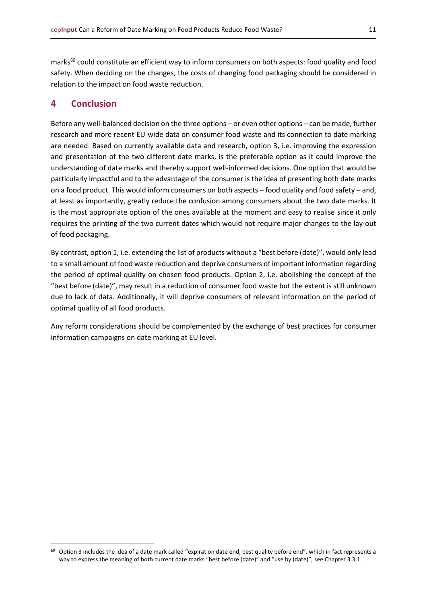marks<sup>69</sup> could constitute an efficient way to inform consumers on both aspects: food quality and food safety. When deciding on the changes, the costs of changing food packaging should be considered in relation to the impact on food waste reduction.

#### <span id="page-10-0"></span>**4 Conclusion**

Before any well-balanced decision on the three options – or even other options – can be made, further research and more recent EU-wide data on consumer food waste and its connection to date marking are needed. Based on currently available data and research, option 3, i.e. improving the expression and presentation of the two different date marks, is the preferable option as it could improve the understanding of date marks and thereby support well-informed decisions. One option that would be particularly impactful and to the advantage of the consumer is the idea of presenting both date marks on a food product. This would inform consumers on both aspects – food quality and food safety – and, at least as importantly, greatly reduce the confusion among consumers about the two date marks. It is the most appropriate option of the ones available at the moment and easy to realise since it only requires the printing of the two current dates which would not require major changes to the lay-out of food packaging.

By contrast, option 1, i.e. extending the list of products without a "best before (date)", would only lead to a small amount of food waste reduction and deprive consumers of important information regarding the period of optimal quality on chosen food products. Option 2, i.e. abolishing the concept of the "best before (date)", may result in a reduction of consumer food waste but the extent is still unknown due to lack of data. Additionally, it will deprive consumers of relevant information on the period of optimal quality of all food products.

Any reform considerations should be complemented by the exchange of best practices for consumer information campaigns on date marking at EU level.

<sup>&</sup>lt;sup>69</sup> Option 3 includes the idea of a date mark called "expiration date end, best quality before end", which in fact represents a way to express the meaning of both current date marks "best before (date)" and "use by (date)"; see Chapter 3.3.1.